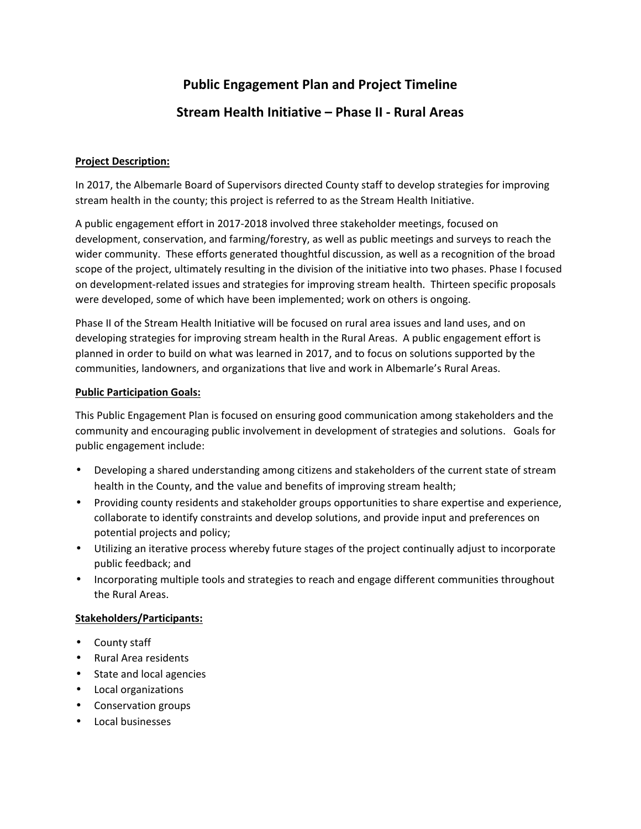# **Public Engagement Plan and Project Timeline**

# **Stream Health Initiative – Phase II - Rural Areas**

## **Project Description:**

In 2017, the Albemarle Board of Supervisors directed County staff to develop strategies for improving stream health in the county; this project is referred to as the Stream Health Initiative.

A public engagement effort in 2017-2018 involved three stakeholder meetings, focused on development, conservation, and farming/forestry, as well as public meetings and surveys to reach the wider community. These efforts generated thoughtful discussion, as well as a recognition of the broad scope of the project, ultimately resulting in the division of the initiative into two phases. Phase I focused on development-related issues and strategies for improving stream health. Thirteen specific proposals were developed, some of which have been implemented; work on others is ongoing.

Phase II of the Stream Health Initiative will be focused on rural area issues and land uses, and on developing strategies for improving stream health in the Rural Areas. A public engagement effort is planned in order to build on what was learned in 2017, and to focus on solutions supported by the communities, landowners, and organizations that live and work in Albemarle's Rural Areas.

#### **Public Participation Goals:**

This Public Engagement Plan is focused on ensuring good communication among stakeholders and the community and encouraging public involvement in development of strategies and solutions. Goals for public engagement include:

- Developing a shared understanding among citizens and stakeholders of the current state of stream health in the County, and the value and benefits of improving stream health;
- Providing county residents and stakeholder groups opportunities to share expertise and experience, collaborate to identify constraints and develop solutions, and provide input and preferences on potential projects and policy;
- Utilizing an iterative process whereby future stages of the project continually adjust to incorporate public feedback; and
- Incorporating multiple tools and strategies to reach and engage different communities throughout the Rural Areas.

## **Stakeholders/Participants:**

- County staff
- Rural Area residents
- State and local agencies
- Local organizations
- Conservation groups
- Local businesses